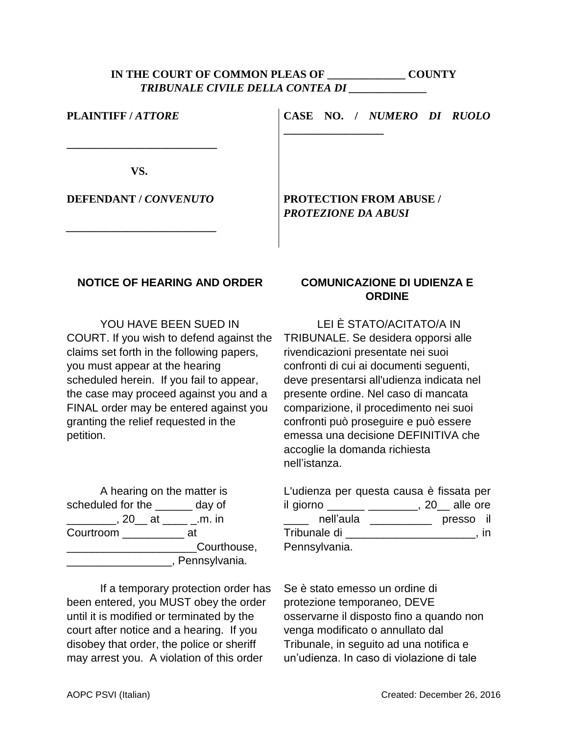## **IN THE COURT OF COMMON PLEAS OF \_\_\_\_\_\_\_\_\_\_\_\_\_\_ COUNTY** *TRIBUNALE CIVILE DELLA CONTEA DI \_\_\_\_\_\_\_\_\_\_\_\_\_\_*

| PLAINTIFF/ATTORE      | CASE NO. / NUMERO DI RUOLO                                   |
|-----------------------|--------------------------------------------------------------|
| VS.                   |                                                              |
| DEFENDANT / CONVENUTO | <b>PROTECTION FROM ABUSE /</b><br><b>PROTEZIONE DA ABUSI</b> |

## **NOTICE OF HEARING AND ORDER**

YOU HAVE BEEN SUED IN COURT. If you wish to defend against the claims set forth in the following papers, you must appear at the hearing scheduled herein. If you fail to appear, the case may proceed against you and a FINAL order may be entered against you granting the relief requested in the petition.

A hearing on the matter is scheduled for the \_\_\_\_\_\_ day of \_\_\_\_\_\_\_\_, 20\_\_ at \_\_\_\_ \_.m. in Courtroom \_\_\_\_\_\_\_\_\_\_\_\_ at extending the Courthouse, \_\_\_\_\_\_\_\_\_\_\_\_\_\_\_\_\_, Pennsylvania.

If a temporary protection order has been entered, you MUST obey the order until it is modified or terminated by the court after notice and a hearing. If you disobey that order, the police or sheriff may arrest you. A violation of this order

## **COMUNICAZIONE DI UDIENZA E ORDINE**

LEI È STATO/ACITATO/A IN TRIBUNALE. Se desidera opporsi alle rivendicazioni presentate nei suoi confronti di cui ai documenti seguenti, deve presentarsi all'udienza indicata nel presente ordine. Nel caso di mancata comparizione, il procedimento nei suoi confronti può proseguire e può essere emessa una decisione DEFINITIVA che accoglie la domanda richiesta nell'istanza.

L'udienza per questa causa è fissata per il giorno \_\_\_\_\_\_ \_\_\_\_\_\_\_\_, 20\_\_ alle ore \_\_\_\_ nell'aula \_\_\_\_\_\_\_\_\_\_ presso il Tribunale di \_\_\_\_\_\_\_\_\_\_\_\_\_\_\_\_\_\_\_\_\_, in Pennsylvania.

Se è stato emesso un ordine di protezione temporaneo, DEVE osservarne il disposto fino a quando non venga modificato o annullato dal Tribunale, in seguito ad una notifica e un'udienza. In caso di violazione di tale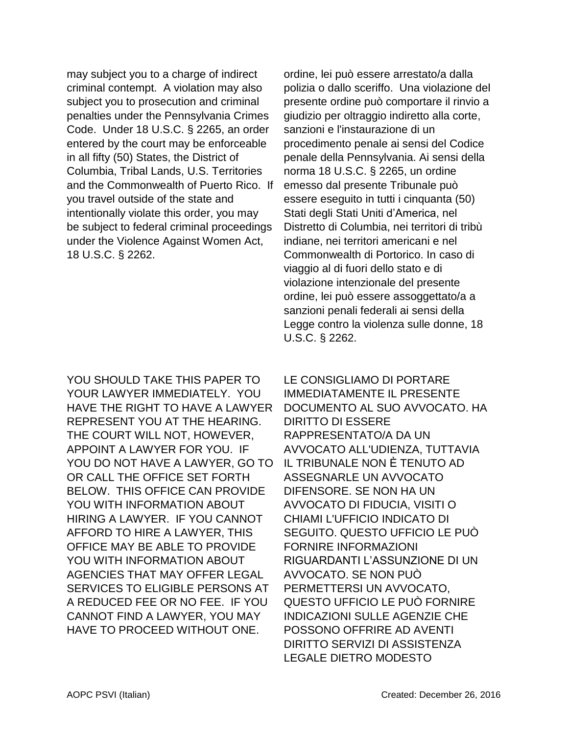may subject you to a charge of indirect criminal contempt. A violation may also subject you to prosecution and criminal penalties under the Pennsylvania Crimes Code. Under 18 U.S.C. § 2265, an order entered by the court may be enforceable in all fifty (50) States, the District of Columbia, Tribal Lands, U.S. Territories and the Commonwealth of Puerto Rico. If you travel outside of the state and intentionally violate this order, you may be subject to federal criminal proceedings under the Violence Against Women Act, 18 U.S.C. § 2262.

YOU SHOULD TAKE THIS PAPER TO YOUR LAWYER IMMEDIATELY. YOU HAVE THE RIGHT TO HAVE A LAWYER REPRESENT YOU AT THE HEARING. THE COURT WILL NOT, HOWEVER, APPOINT A LAWYER FOR YOU. IF YOU DO NOT HAVE A LAWYER, GO TO OR CALL THE OFFICE SET FORTH BELOW. THIS OFFICE CAN PROVIDE YOU WITH INFORMATION ABOUT HIRING A LAWYER. IF YOU CANNOT AFFORD TO HIRE A LAWYER, THIS OFFICE MAY BE ABLE TO PROVIDE YOU WITH INFORMATION ABOUT AGENCIES THAT MAY OFFER LEGAL SERVICES TO ELIGIBLE PERSONS AT A REDUCED FEE OR NO FEE. IF YOU CANNOT FIND A LAWYER, YOU MAY HAVE TO PROCEED WITHOUT ONE.

ordine, lei può essere arrestato/a dalla polizia o dallo sceriffo. Una violazione del presente ordine può comportare il rinvio a giudizio per oltraggio indiretto alla corte, sanzioni e l'instaurazione di un procedimento penale ai sensi del Codice penale della Pennsylvania. Ai sensi della norma 18 U.S.C. § 2265, un ordine emesso dal presente Tribunale può essere eseguito in tutti i cinquanta (50) Stati degli Stati Uniti d'America, nel Distretto di Columbia, nei territori di tribù indiane, nei territori americani e nel Commonwealth di Portorico. In caso di viaggio al di fuori dello stato e di violazione intenzionale del presente ordine, lei può essere assoggettato/a a sanzioni penali federali ai sensi della Legge contro la violenza sulle donne, 18 U.S.C. § 2262.

LE CONSIGLIAMO DI PORTARE IMMEDIATAMENTE IL PRESENTE DOCUMENTO AL SUO AVVOCATO. HA DIRITTO DI ESSERE RAPPRESENTATO/A DA UN AVVOCATO ALL'UDIENZA, TUTTAVIA IL TRIBUNALE NON Ѐ TENUTO AD ASSEGNARLE UN AVVOCATO DIFENSORE. SE NON HA UN AVVOCATO DI FIDUCIA, VISITI O CHIAMI L'UFFICIO INDICATO DI SEGUITO. QUESTO UFFICIO LE PUÒ FORNIRE INFORMAZIONI RIGUARDANTI L'ASSUNZIONE DI UN AVVOCATO. SE NON PUÒ PERMETTERSI UN AVVOCATO, QUESTO UFFICIO LE PUÒ FORNIRE INDICAZIONI SULLE AGENZIE CHE POSSONO OFFRIRE AD AVENTI DIRITTO SERVIZI DI ASSISTENZA LEGALE DIETRO MODESTO